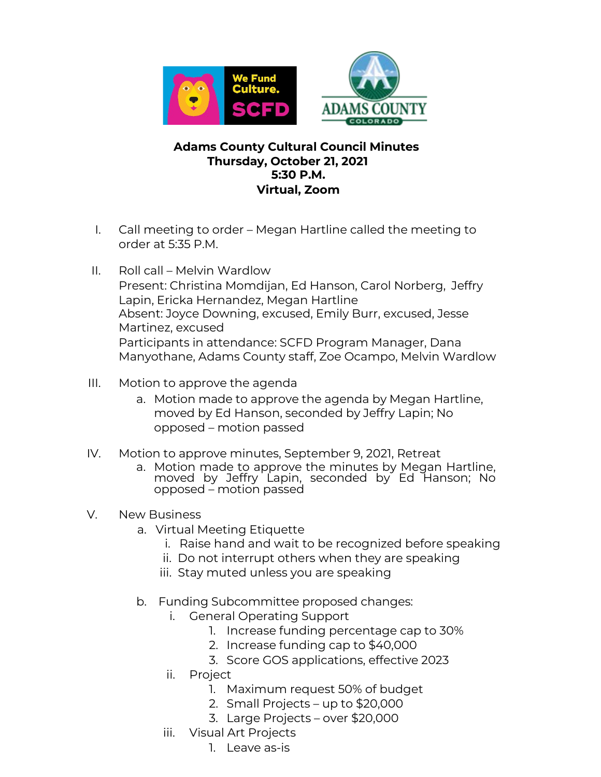



## **Adams County Cultural Council Minutes Thursday, October 21, 2021 5:30 P.M. Virtual, Zoom**

- I. Call meeting to order Megan Hartline called the meeting to order at 5:35 P.M.
- II. Roll call Melvin Wardlow Present: Christina Momdijan, Ed Hanson, Carol Norberg, Jeffry Lapin, Ericka Hernandez, Megan Hartline Absent: Joyce Downing, excused, Emily Burr, excused, Jesse Martinez, excused Participants in attendance: SCFD Program Manager, Dana Manyothane, Adams County staff, Zoe Ocampo, Melvin Wardlow
- III. Motion to approve the agenda
	- a. Motion made to approve the agenda by Megan Hartline, moved by Ed Hanson, seconded by Jeffry Lapin; No opposed – motion passed
- IV. Motion to approve minutes, September 9, 2021, Retreat
	- a. Motion made to approve the minutes by Megan Hartline, moved by Jeffry Lapin, seconded by Ed Hanson; No opposed – motion passed
- V. New Business
	- a. Virtual Meeting Etiquette
		- i. Raise hand and wait to be recognized before speaking
		- ii. Do not interrupt others when they are speaking
		- iii. Stay muted unless you are speaking
	- b. Funding Subcommittee proposed changes:
		- i. General Operating Support
			- 1. Increase funding percentage cap to 30%
			- 2. Increase funding cap to \$40,000
			- 3. Score GOS applications, effective 2023
		- ii. Project
			- 1. Maximum request 50% of budget
			- 2. Small Projects up to \$20,000
			- 3. Large Projects over \$20,000
		- iii. Visual Art Projects
			- 1. Leave as-is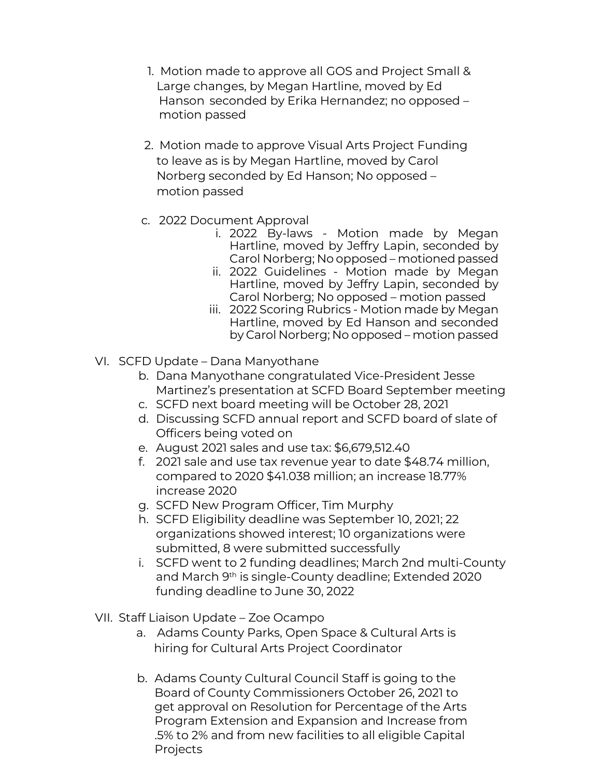- 1. Motion made to approve all GOS and Project Small & Large changes, by Megan Hartline, moved by Ed Hanson seconded by Erika Hernandez; no opposed – motion passed
- 2. Motion made to approve Visual Arts Project Funding to leave as is by Megan Hartline, moved by Carol Norberg seconded by Ed Hanson; No opposed – motion passed
- c. 2022 Document Approval
	- i. 2022 By-laws Motion made by Megan Hartline, moved by Jeffry Lapin, seconded by Carol Norberg; No opposed – motioned passed
	- ii. 2022 Guidelines Motion made by Megan Hartline, moved by Jeffry Lapin, seconded by Carol Norberg; No opposed – motion passed
	- iii. 2022 Scoring Rubrics Motion made by Megan Hartline, moved by Ed Hanson and seconded by Carol Norberg; No opposed – motion passed
- VI. SCFD Update Dana Manyothane
	- b. Dana Manyothane congratulated Vice-President Jesse Martinez's presentation at SCFD Board September meeting
	- c. SCFD next board meeting will be October 28, 2021
	- d. Discussing SCFD annual report and SCFD board of slate of Officers being voted on
	- e. August 2021 sales and use tax: \$6,679,512.40
	- f. 2021 sale and use tax revenue year to date \$48.74 million, compared to 2020 \$41.038 million; an increase 18.77% increase 2020
	- g. SCFD New Program Officer, Tim Murphy
	- h. SCFD Eligibility deadline was September 10, 2021; 22 organizations showed interest; 10 organizations were submitted, 8 were submitted successfully
	- i. SCFD went to 2 funding deadlines; March 2nd multi-County and March 9th is single-County deadline; Extended 2020 funding deadline to June 30, 2022
- VII. Staff Liaison Update Zoe Ocampo
	- a. Adams County Parks, Open Space & Cultural Arts is hiring for Cultural Arts Project Coordinator
	- b. Adams County Cultural Council Staff is going to the Board of County Commissioners October 26, 2021 to get approval on Resolution for Percentage of the Arts Program Extension and Expansion and Increase from .5% to 2% and from new facilities to all eligible Capital Projects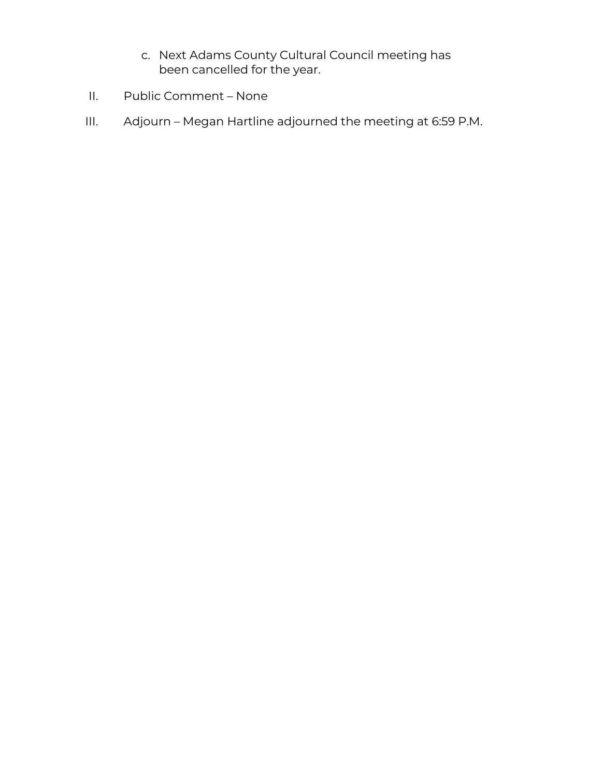- c. Next Adams County Cultural Council meeting has been cancelled for the year.
- II. Public Comment None
- III. Adjourn Megan Hartline adjourned the meeting at 6:59 P.M.